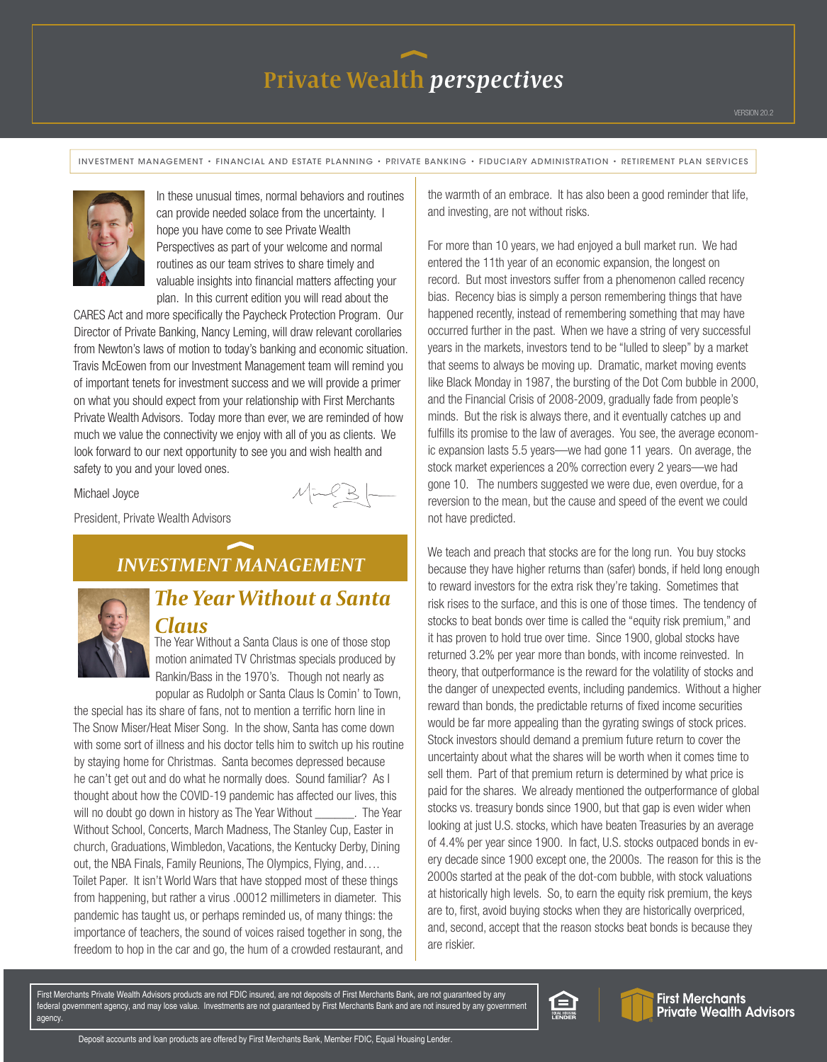INVESTMENT MANAGEMENT • FINANCIAL AND ESTATE PLANNING • PRIVATE BANKING • FIDUCIARY ADMINISTRATION • RETIREMENT PLAN SERVICES



In these unusual times, normal behaviors and routines can provide needed solace from the uncertainty. I hope you have come to see Private Wealth Perspectives as part of your welcome and normal routines as our team strives to share timely and valuable insights into financial matters affecting your plan. In this current edition you will read about the

CARES Act and more specifically the Paycheck Protection Program. Our Director of Private Banking, Nancy Leming, will draw relevant corollaries from Newton's laws of motion to today's banking and economic situation. Travis McEowen from our Investment Management team will remind you of important tenets for investment success and we will provide a primer on what you should expect from your relationship with First Merchants Private Wealth Advisors. Today more than ever, we are reminded of how much we value the connectivity we enjoy with all of you as clients. We look forward to our next opportunity to see you and wish health and safety to you and your loved ones.

Michael Joyce

President, Private Wealth Advisors

### *INVESTMENT MANAGEMENT*



#### *The Year Without a Santa Claus*

The Year Without a Santa Claus is one of those stop motion animated TV Christmas specials produced by Rankin/Bass in the 1970's. Though not nearly as popular as Rudolph or Santa Claus Is Comin' to Town,

the special has its share of fans, not to mention a terrific horn line in The Snow Miser/Heat Miser Song. In the show, Santa has come down with some sort of illness and his doctor tells him to switch up his routine by staying home for Christmas. Santa becomes depressed because he can't get out and do what he normally does. Sound familiar? As I thought about how the COVID-19 pandemic has affected our lives, this will no doubt go down in history as The Year Without . The Year Without School, Concerts, March Madness, The Stanley Cup, Easter in church, Graduations, Wimbledon, Vacations, the Kentucky Derby, Dining out, the NBA Finals, Family Reunions, The Olympics, Flying, and…. Toilet Paper. It isn't World Wars that have stopped most of these things from happening, but rather a virus .00012 millimeters in diameter. This pandemic has taught us, or perhaps reminded us, of many things: the importance of teachers, the sound of voices raised together in song, the freedom to hop in the car and go, the hum of a crowded restaurant, and the warmth of an embrace. It has also been a good reminder that life, and investing, are not without risks.

For more than 10 years, we had enjoyed a bull market run. We had entered the 11th year of an economic expansion, the longest on record. But most investors suffer from a phenomenon called recency bias. Recency bias is simply a person remembering things that have happened recently, instead of remembering something that may have occurred further in the past. When we have a string of very successful years in the markets, investors tend to be "lulled to sleep" by a market that seems to always be moving up. Dramatic, market moving events like Black Monday in 1987, the bursting of the Dot Com bubble in 2000, and the Financial Crisis of 2008-2009, gradually fade from people's minds. But the risk is always there, and it eventually catches up and fulfills its promise to the law of averages. You see, the average economic expansion lasts 5.5 years—we had gone 11 years. On average, the stock market experiences a 20% correction every 2 years—we had gone 10. The numbers suggested we were due, even overdue, for a reversion to the mean, but the cause and speed of the event we could not have predicted.

We teach and preach that stocks are for the long run. You buy stocks because they have higher returns than (safer) bonds, if held long enough to reward investors for the extra risk they're taking. Sometimes that risk rises to the surface, and this is one of those times. The tendency of stocks to beat bonds over time is called the "equity risk premium," and it has proven to hold true over time. Since 1900, global stocks have returned 3.2% per year more than bonds, with income reinvested. In theory, that outperformance is the reward for the volatility of stocks and the danger of unexpected events, including pandemics. Without a higher reward than bonds, the predictable returns of fixed income securities would be far more appealing than the gyrating swings of stock prices. Stock investors should demand a premium future return to cover the uncertainty about what the shares will be worth when it comes time to sell them. Part of that premium return is determined by what price is paid for the shares. We already mentioned the outperformance of global stocks vs. treasury bonds since 1900, but that gap is even wider when looking at just U.S. stocks, which have beaten Treasuries by an average of 4.4% per year since 1900. In fact, U.S. stocks outpaced bonds in every decade since 1900 except one, the 2000s. The reason for this is the 2000s started at the peak of the dot-com bubble, with stock valuations at historically high levels. So, to earn the equity risk premium, the keys are to, first, avoid buying stocks when they are historically overpriced, and, second, accept that the reason stocks beat bonds is because they are riskier.

First Merchants Private Wealth Advisors products are not FDIC insured, are not deposits of First Merchants Bank, are not guaranteed by any federal government agency, and may lose value. Investments are not guaranteed by First Merchants Bank and are not insured by any government agency.





First Merchants<br>Private Wealth Advisors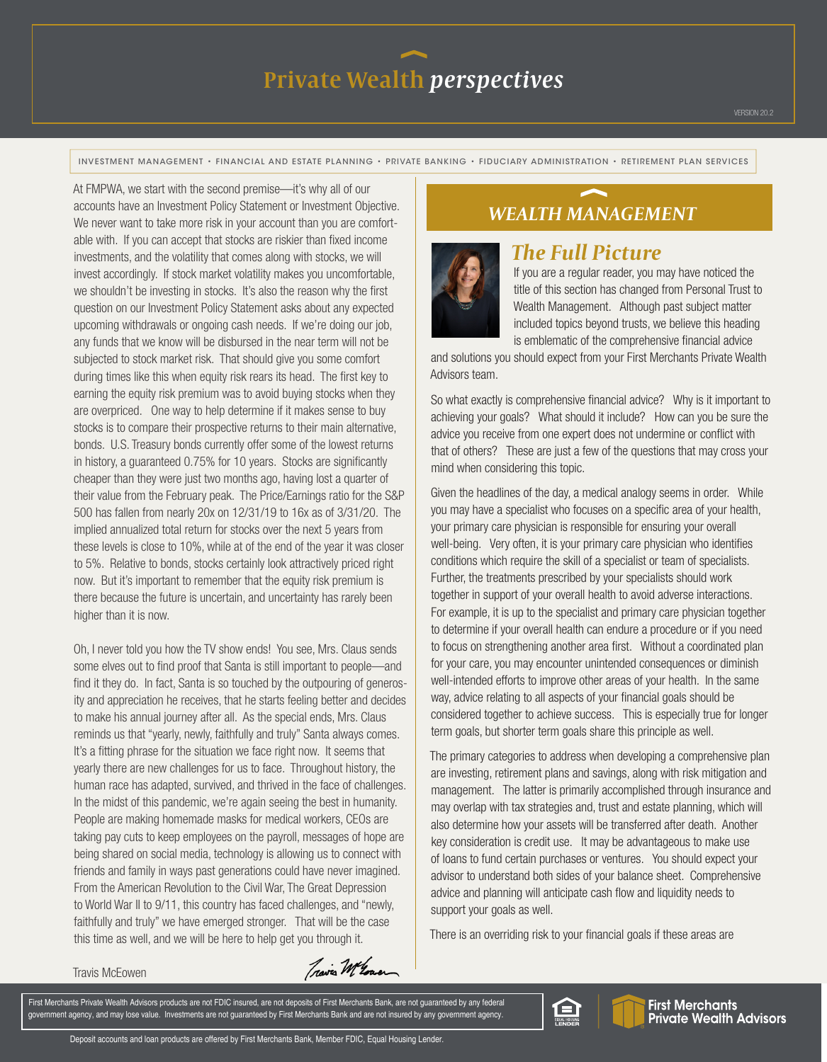INVESTMENT MANAGEMENT • FINANCIAL AND ESTATE PLANNING • PRIVATE BANKING • FIDUCIARY ADMINISTRATION • RETIREMENT PLAN SERVICES

At FMPWA, we start with the second premise—it's why all of our accounts have an Investment Policy Statement or Investment Objective. We never want to take more risk in your account than you are comfortable with. If you can accept that stocks are riskier than fixed income investments, and the volatility that comes along with stocks, we will invest accordingly. If stock market volatility makes you uncomfortable, we shouldn't be investing in stocks. It's also the reason why the first question on our Investment Policy Statement asks about any expected upcoming withdrawals or ongoing cash needs. If we're doing our job, any funds that we know will be disbursed in the near term will not be subjected to stock market risk. That should give you some comfort during times like this when equity risk rears its head. The first key to earning the equity risk premium was to avoid buying stocks when they are overpriced. One way to help determine if it makes sense to buy stocks is to compare their prospective returns to their main alternative, bonds. U.S. Treasury bonds currently offer some of the lowest returns in history, a guaranteed 0.75% for 10 years. Stocks are significantly cheaper than they were just two months ago, having lost a quarter of their value from the February peak. The Price/Earnings ratio for the S&P 500 has fallen from nearly 20x on 12/31/19 to 16x as of 3/31/20. The implied annualized total return for stocks over the next 5 years from these levels is close to 10%, while at of the end of the year it was closer to 5%. Relative to bonds, stocks certainly look attractively priced right now. But it's important to remember that the equity risk premium is there because the future is uncertain, and uncertainty has rarely been higher than it is now.

Oh, I never told you how the TV show ends! You see, Mrs. Claus sends some elves out to find proof that Santa is still important to people—and find it they do. In fact, Santa is so touched by the outpouring of generosity and appreciation he receives, that he starts feeling better and decides to make his annual journey after all. As the special ends, Mrs. Claus reminds us that "yearly, newly, faithfully and truly" Santa always comes. It's a fitting phrase for the situation we face right now. It seems that yearly there are new challenges for us to face. Throughout history, the human race has adapted, survived, and thrived in the face of challenges. In the midst of this pandemic, we're again seeing the best in humanity. People are making homemade masks for medical workers, CEOs are taking pay cuts to keep employees on the payroll, messages of hope are being shared on social media, technology is allowing us to connect with friends and family in ways past generations could have never imagined. From the American Revolution to the Civil War, The Great Depression to World War II to 9/11, this country has faced challenges, and "newly, faithfully and truly" we have emerged stronger. That will be the case this time as well, and we will be here to help get you through it.

#### *WEALTH MANAGEMENT*



#### *The Full Picture*

If you are a regular reader, you may have noticed the title of this section has changed from Personal Trust to Wealth Management. Although past subject matter included topics beyond trusts, we believe this heading is emblematic of the comprehensive financial advice

and solutions you should expect from your First Merchants Private Wealth Advisors team.

So what exactly is comprehensive financial advice? Why is it important to achieving your goals? What should it include? How can you be sure the advice you receive from one expert does not undermine or conflict with that of others? These are just a few of the questions that may cross your mind when considering this topic.

Given the headlines of the day, a medical analogy seems in order. While you may have a specialist who focuses on a specific area of your health, your primary care physician is responsible for ensuring your overall well-being. Very often, it is your primary care physician who identifies conditions which require the skill of a specialist or team of specialists. Further, the treatments prescribed by your specialists should work together in support of your overall health to avoid adverse interactions. For example, it is up to the specialist and primary care physician together to determine if your overall health can endure a procedure or if you need to focus on strengthening another area first. Without a coordinated plan for your care, you may encounter unintended consequences or diminish well-intended efforts to improve other areas of your health. In the same way, advice relating to all aspects of your financial goals should be considered together to achieve success. This is especially true for longer term goals, but shorter term goals share this principle as well.

The primary categories to address when developing a comprehensive plan are investing, retirement plans and savings, along with risk mitigation and management. The latter is primarily accomplished through insurance and may overlap with tax strategies and, trust and estate planning, which will also determine how your assets will be transferred after death. Another key consideration is credit use. It may be advantageous to make use of loans to fund certain purchases or ventures. You should expect your advisor to understand both sides of your balance sheet. Comprehensive advice and planning will anticipate cash flow and liquidity needs to support your goals as well.

There is an overriding risk to your financial goals if these areas are

Travis McEowen

Train Whower

First Merchants Private Wealth Advisors products are not FDIC insured, are not deposits of First Merchants Bank, are not guaranteed by any federal government agency, and may lose value. Investments are not guaranteed by First Merchants Bank and are not insured by any government agency.



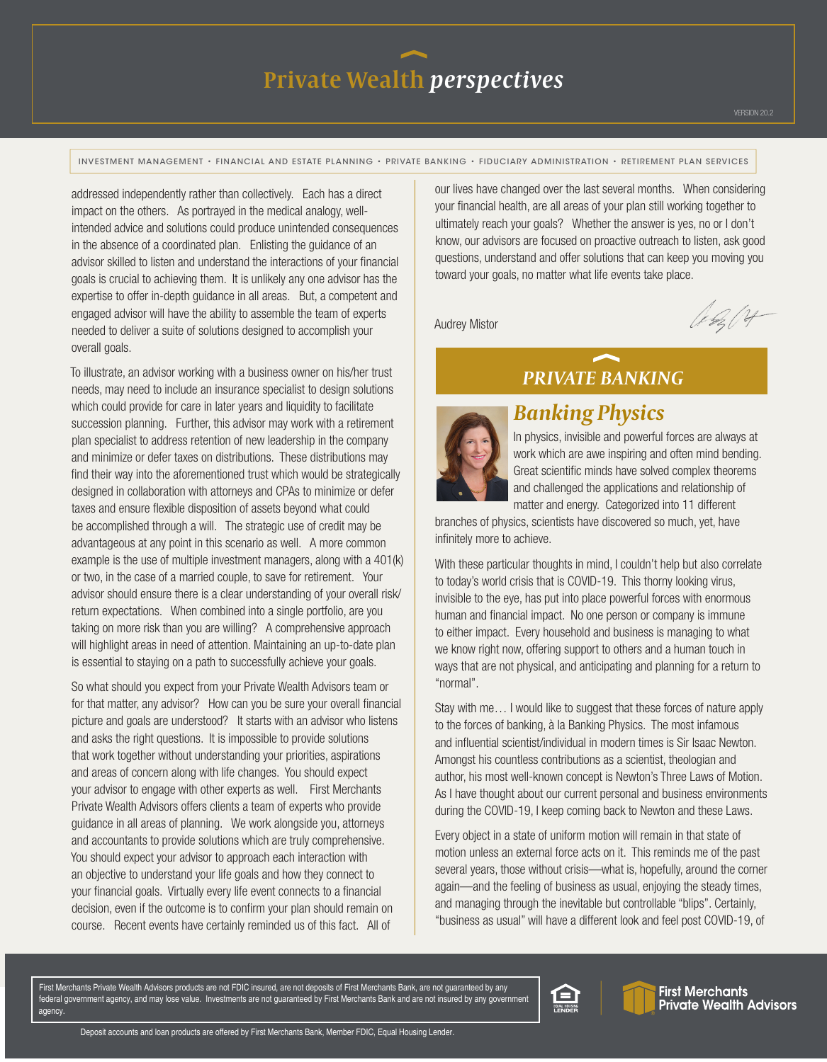INVESTMENT MANAGEMENT • FINANCIAL AND ESTATE PLANNING • PRIVATE BANKING • FIDUCIARY ADMINISTRATION • RETIREMENT PLAN SERVICES

addressed independently rather than collectively. Each has a direct impact on the others. As portrayed in the medical analogy, wellintended advice and solutions could produce unintended consequences in the absence of a coordinated plan. Enlisting the guidance of an advisor skilled to listen and understand the interactions of your financial goals is crucial to achieving them. It is unlikely any one advisor has the expertise to offer in-depth guidance in all areas. But, a competent and engaged advisor will have the ability to assemble the team of experts needed to deliver a suite of solutions designed to accomplish your overall goals.

To illustrate, an advisor working with a business owner on his/her trust needs, may need to include an insurance specialist to design solutions which could provide for care in later years and liquidity to facilitate succession planning. Further, this advisor may work with a retirement plan specialist to address retention of new leadership in the company and minimize or defer taxes on distributions. These distributions may find their way into the aforementioned trust which would be strategically designed in collaboration with attorneys and CPAs to minimize or defer taxes and ensure flexible disposition of assets beyond what could be accomplished through a will. The strategic use of credit may be advantageous at any point in this scenario as well. A more common example is the use of multiple investment managers, along with a 401(k) or two, in the case of a married couple, to save for retirement. Your advisor should ensure there is a clear understanding of your overall risk/ return expectations. When combined into a single portfolio, are you taking on more risk than you are willing? A comprehensive approach will highlight areas in need of attention. Maintaining an up-to-date plan is essential to staying on a path to successfully achieve your goals.

So what should you expect from your Private Wealth Advisors team or for that matter, any advisor? How can you be sure your overall financial picture and goals are understood? It starts with an advisor who listens and asks the right questions. It is impossible to provide solutions that work together without understanding your priorities, aspirations and areas of concern along with life changes. You should expect your advisor to engage with other experts as well. First Merchants Private Wealth Advisors offers clients a team of experts who provide guidance in all areas of planning. We work alongside you, attorneys and accountants to provide solutions which are truly comprehensive. You should expect your advisor to approach each interaction with an objective to understand your life goals and how they connect to your financial goals. Virtually every life event connects to a financial decision, even if the outcome is to confirm your plan should remain on course. Recent events have certainly reminded us of this fact. All of

our lives have changed over the last several months. When considering your financial health, are all areas of your plan still working together to ultimately reach your goals? Whether the answer is yes, no or I don't know, our advisors are focused on proactive outreach to listen, ask good questions, understand and offer solutions that can keep you moving you toward your goals, no matter what life events take place.

Audrey Mistor

A. b. 04

### *PRIVATE BANKING*



#### *Banking Physics*

In physics, invisible and powerful forces are always at work which are awe inspiring and often mind bending. Great scientific minds have solved complex theorems and challenged the applications and relationship of matter and energy. Categorized into 11 different

branches of physics, scientists have discovered so much, yet, have infinitely more to achieve.

With these particular thoughts in mind, I couldn't help but also correlate to today's world crisis that is COVID-19. This thorny looking virus, invisible to the eye, has put into place powerful forces with enormous human and financial impact. No one person or company is immune to either impact. Every household and business is managing to what we know right now, offering support to others and a human touch in ways that are not physical, and anticipating and planning for a return to "normal".

Stay with me… I would like to suggest that these forces of nature apply to the forces of banking, à la Banking Physics. The most infamous and influential scientist/individual in modern times is Sir Isaac Newton. Amongst his countless contributions as a scientist, theologian and author, his most well-known concept is Newton's Three Laws of Motion. As I have thought about our current personal and business environments during the COVID-19, I keep coming back to Newton and these Laws.

Every object in a state of uniform motion will remain in that state of motion unless an external force acts on it. This reminds me of the past several years, those without crisis—what is, hopefully, around the corner again—and the feeling of business as usual, enjoying the steady times, and managing through the inevitable but controllable "blips". Certainly, "business as usual" will have a different look and feel post COVID-19, of

First Merchants Private Wealth Advisors products are not FDIC insured, are not deposits of First Merchants Bank, are not guaranteed by any federal government agency, and may lose value. Investments are not guaranteed by First Merchants Bank and are not insured by any government agency.



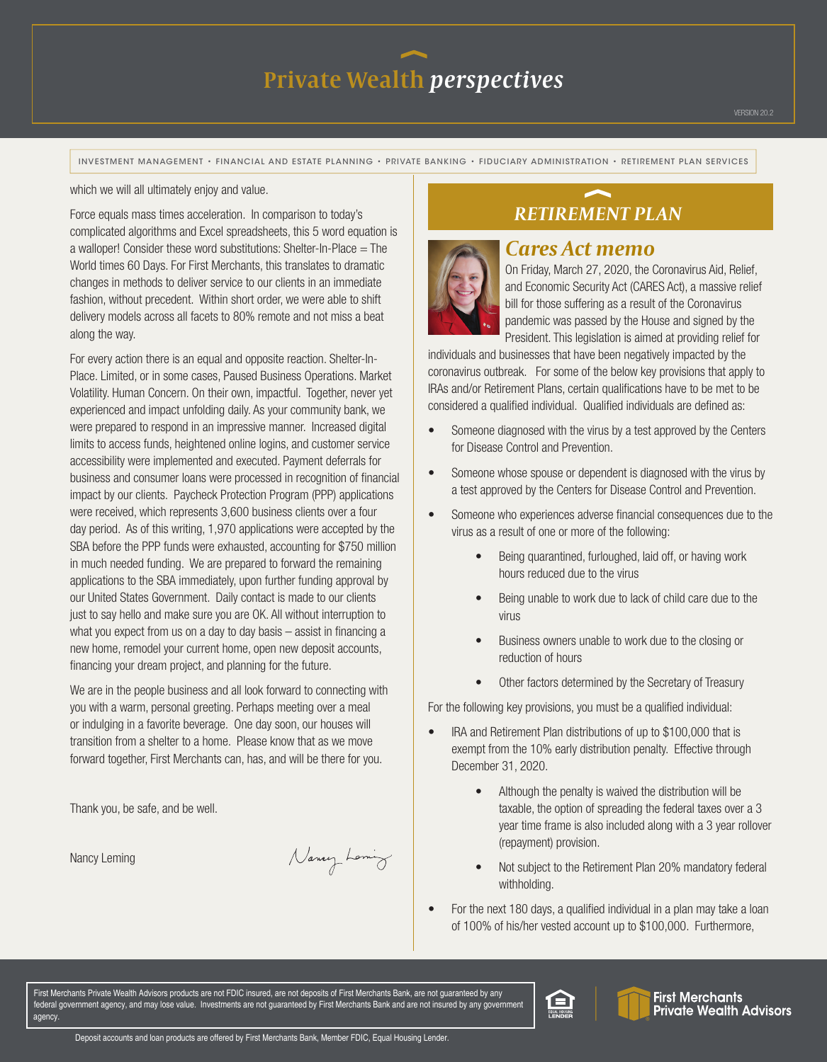INVESTMENT MANAGEMENT • FINANCIAL AND ESTATE PLANNING • PRIVATE BANKING • FIDUCIARY ADMINISTRATION • RETIREMENT PLAN SERVICES

which we will all ultimately enjoy and value.

Force equals mass times acceleration. In comparison to today's complicated algorithms and Excel spreadsheets, this 5 word equation is a walloper! Consider these word substitutions: Shelter-In-Place  $=$  The World times 60 Days. For First Merchants, this translates to dramatic changes in methods to deliver service to our clients in an immediate fashion, without precedent. Within short order, we were able to shift delivery models across all facets to 80% remote and not miss a beat along the way.

For every action there is an equal and opposite reaction. Shelter-In-Place. Limited, or in some cases, Paused Business Operations. Market Volatility. Human Concern. On their own, impactful. Together, never yet experienced and impact unfolding daily. As your community bank, we were prepared to respond in an impressive manner. Increased digital limits to access funds, heightened online logins, and customer service accessibility were implemented and executed. Payment deferrals for business and consumer loans were processed in recognition of financial impact by our clients. Paycheck Protection Program (PPP) applications were received, which represents 3,600 business clients over a four day period. As of this writing, 1,970 applications were accepted by the SBA before the PPP funds were exhausted, accounting for \$750 million in much needed funding. We are prepared to forward the remaining applications to the SBA immediately, upon further funding approval by our United States Government. Daily contact is made to our clients just to say hello and make sure you are OK. All without interruption to what you expect from us on a day to day basis – assist in financing a new home, remodel your current home, open new deposit accounts, financing your dream project, and planning for the future.

We are in the people business and all look forward to connecting with you with a warm, personal greeting. Perhaps meeting over a meal or indulging in a favorite beverage. One day soon, our houses will transition from a shelter to a home. Please know that as we move forward together, First Merchants can, has, and will be there for you.

Thank you, be safe, and be well.

Nancy Leming

Nancy Loming

#### *RETIREMENT PLAN*



#### *Cares Act memo*

On Friday, March 27, 2020, the Coronavirus Aid, Relief, and Economic Security Act (CARES Act), a massive relief bill for those suffering as a result of the Coronavirus pandemic was passed by the House and signed by the President. This legislation is aimed at providing relief for

individuals and businesses that have been negatively impacted by the coronavirus outbreak. For some of the below key provisions that apply to IRAs and/or Retirement Plans, certain qualifications have to be met to be considered a qualified individual. Qualified individuals are defined as:

- Someone diagnosed with the virus by a test approved by the Centers for Disease Control and Prevention.
- Someone whose spouse or dependent is diagnosed with the virus by a test approved by the Centers for Disease Control and Prevention.
- Someone who experiences adverse financial consequences due to the virus as a result of one or more of the following:
	- Being quarantined, furloughed, laid off, or having work hours reduced due to the virus
	- Being unable to work due to lack of child care due to the virus
	- Business owners unable to work due to the closing or reduction of hours
	- Other factors determined by the Secretary of Treasury

For the following key provisions, you must be a qualified individual:

- IRA and Retirement Plan distributions of up to \$100,000 that is exempt from the 10% early distribution penalty. Effective through December 31, 2020.
	- Although the penalty is waived the distribution will be taxable, the option of spreading the federal taxes over a 3 year time frame is also included along with a 3 year rollover (repayment) provision.
	- Not subject to the Retirement Plan 20% mandatory federal withholding.
- For the next 180 days, a qualified individual in a plan may take a loan of 100% of his/her vested account up to \$100,000. Furthermore,

First Merchants Private Wealth Advisors products are not FDIC insured, are not deposits of First Merchants Bank, are not guaranteed by any federal government agency, and may lose value. Investments are not guaranteed by First Merchants Bank and are not insured by any government agency.